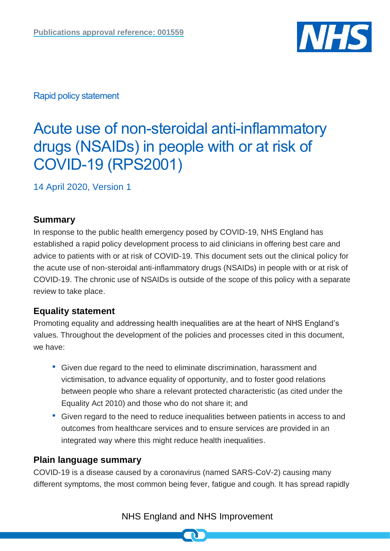

Rapid policy statement

# Acute use of non-steroidal anti-inflammatory drugs (NSAIDs) in people with or at risk of COVID-19 (RPS2001)

14 April 2020, Version 1

## **Summary**

In response to the public health emergency posed by COVID-19, NHS England has established a rapid policy development process to aid clinicians in offering best care and advice to patients with or at risk of COVID-19. This document sets out the clinical policy for the acute use of non-steroidal anti-inflammatory drugs (NSAIDs) in people with or at risk of COVID-19. The chronic use of NSAIDs is outside of the scope of this policy with a separate review to take place.

# **Equality statement**

Promoting equality and addressing health inequalities are at the heart of NHS England's values. Throughout the development of the policies and processes cited in this document, we have:

- Given due regard to the need to eliminate discrimination, harassment and victimisation, to advance equality of opportunity, and to foster good relations between people who share a relevant protected characteristic (as cited under the Equality Act 2010) and those who do not share it; and
- Given regard to the need to reduce inequalities between patients in access to and outcomes from healthcare services and to ensure services are provided in an integrated way where this might reduce health inequalities.

# **Plain language summary**

COVID-19 is a disease caused by a coronavirus (named SARS-CoV-2) causing many different symptoms, the most common being fever, fatigue and cough. It has spread rapidly

# NHS England and NHS Improvement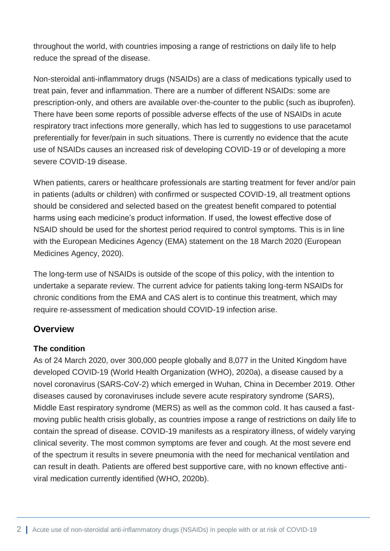throughout the world, with countries imposing a range of restrictions on daily life to help reduce the spread of the disease.

Non-steroidal anti-inflammatory drugs (NSAIDs) are a class of medications typically used to treat pain, fever and inflammation. There are a number of different NSAIDs: some are prescription-only, and others are available over-the-counter to the public (such as ibuprofen). There have been some reports of possible adverse effects of the use of NSAIDs in acute respiratory tract infections more generally, which has led to suggestions to use paracetamol preferentially for fever/pain in such situations. There is currently no evidence that the acute use of NSAIDs causes an increased risk of developing COVID-19 or of developing a more severe COVID-19 disease.

When patients, carers or healthcare professionals are starting treatment for fever and/or pain in patients (adults or children) with confirmed or suspected COVID-19, all treatment options should be considered and selected based on the greatest benefit compared to potential harms using each medicine's product information. If used, the lowest effective dose of NSAID should be used for the shortest period required to control symptoms. This is in line with the European Medicines Agency (EMA) statement on the 18 March 2020 (European Medicines Agency, 2020).

The long-term use of NSAIDs is outside of the scope of this policy, with the intention to undertake a separate review. The current advice for patients taking long-term NSAIDs for chronic conditions from the EMA and CAS alert is to continue this treatment, which may require re-assessment of medication should COVID-19 infection arise.

# **Overview**

#### **The condition**

As of 24 March 2020, over 300,000 people globally and 8,077 in the United Kingdom have developed COVID-19 (World Health Organization (WHO), 2020a), a disease caused by a novel coronavirus (SARS-CoV-2) which emerged in Wuhan, China in December 2019. Other diseases caused by coronaviruses include severe acute respiratory syndrome (SARS), Middle East respiratory syndrome (MERS) as well as the common cold. It has caused a fastmoving public health crisis globally, as countries impose a range of restrictions on daily life to contain the spread of disease. COVID-19 manifests as a respiratory illness, of widely varying clinical severity. The most common symptoms are fever and cough. At the most severe end of the spectrum it results in severe pneumonia with the need for mechanical ventilation and can result in death. Patients are offered best supportive care, with no known effective antiviral medication currently identified (WHO, 2020b).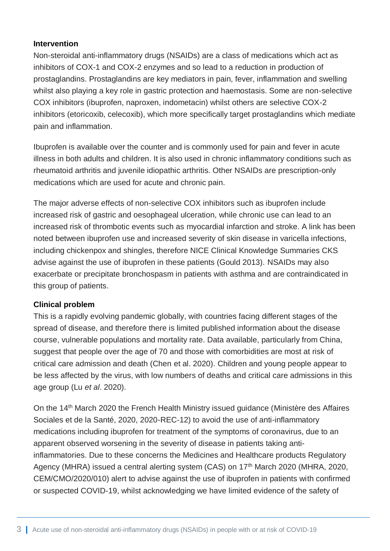#### **Intervention**

Non-steroidal anti-inflammatory drugs (NSAIDs) are a class of medications which act as inhibitors of COX-1 and COX-2 enzymes and so lead to a reduction in production of prostaglandins. Prostaglandins are key mediators in pain, fever, inflammation and swelling whilst also playing a key role in gastric protection and haemostasis. Some are non-selective COX inhibitors (ibuprofen, naproxen, indometacin) whilst others are selective COX-2 inhibitors (etoricoxib, celecoxib), which more specifically target prostaglandins which mediate pain and inflammation.

Ibuprofen is available over the counter and is commonly used for pain and fever in acute illness in both adults and children. It is also used in chronic inflammatory conditions such as rheumatoid arthritis and juvenile idiopathic arthritis. Other NSAIDs are prescription-only medications which are used for acute and chronic pain.

The major adverse effects of non-selective COX inhibitors such as ibuprofen include increased risk of gastric and oesophageal ulceration, while chronic use can lead to an increased risk of thrombotic events such as myocardial infarction and stroke. A link has been noted between ibuprofen use and increased severity of skin disease in varicella infections, including chickenpox and shingles, therefore NICE Clinical Knowledge Summaries CKS advise against the use of ibuprofen in these patients (Gould 2013). NSAIDs may also exacerbate or precipitate bronchospasm in patients with asthma and are contraindicated in this group of patients.

#### **Clinical problem**

This is a rapidly evolving pandemic globally, with countries facing different stages of the spread of disease, and therefore there is limited published information about the disease course, vulnerable populations and mortality rate. Data available, particularly from China, suggest that people over the age of 70 and those with comorbidities are most at risk of critical care admission and death (Chen et al. 2020). Children and young people appear to be less affected by the virus, with low numbers of deaths and critical care admissions in this age group (Lu *et al*. 2020).

On the 14<sup>th</sup> March 2020 the French Health Ministry issued guidance (Ministère des Affaires Sociales et de la Santé, 2020, 2020-REC-12) to avoid the use of anti-inflammatory medications including ibuprofen for treatment of the symptoms of coronavirus, due to an apparent observed worsening in the severity of disease in patients taking antiinflammatories. Due to these concerns the Medicines and Healthcare products Regulatory Agency (MHRA) issued a central alerting system (CAS) on 17<sup>th</sup> March 2020 (MHRA, 2020, CEM/CMO/2020/010) alert to advise against the use of ibuprofen in patients with confirmed or suspected COVID-19, whilst acknowledging we have limited evidence of the safety of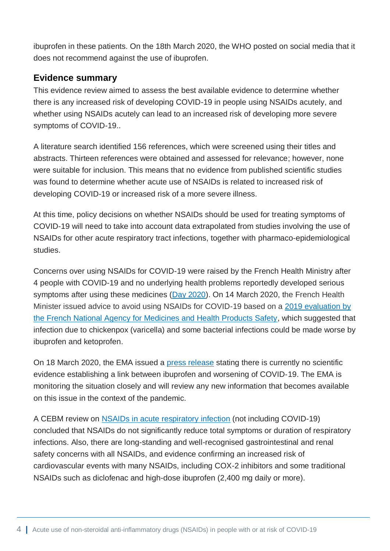ibuprofen in these patients. On the 18th March 2020, the WHO posted on social media that it does not recommend against the use of ibuprofen.

### **Evidence summary**

This evidence review aimed to assess the best available evidence to determine whether there is any increased risk of developing COVID-19 in people using NSAIDs acutely, and whether using NSAIDs acutely can lead to an increased risk of developing more severe symptoms of COVID-19..

A literature search identified 156 references, which were screened using their titles and abstracts. Thirteen references were obtained and assessed for relevance; however, none were suitable for inclusion. This means that no evidence from published scientific studies was found to determine whether acute use of NSAIDs is related to increased risk of developing COVID-19 or increased risk of a more severe illness.

At this time, policy decisions on whether NSAIDs should be used for treating symptoms of COVID-19 will need to take into account data extrapolated from studies involving the use of NSAIDs for other acute respiratory tract infections, together with pharmaco-epidemiological studies.

Concerns over using NSAIDs for COVID-19 were raised by the French Health Ministry after 4 people with COVID-19 and no underlying health problems reportedly developed serious symptoms after using these medicines [\(Day 2020\)](https://www.bmj.com/content/368/bmj.m1086.full). On 14 March 2020, the French Health Minister issued advice to avoid using NSAIDs for COVID-19 based on a [2019 evaluation](https://www.ansm.sante.fr/S-informer/Points-d-information-Points-d-information/Anti-inflammatoires-non-steroidiens-AINS-et-complications-infectieuses-graves-Point-d-Information) by [the French National Agency for Medicines and Health Products Safety,](https://www.ansm.sante.fr/S-informer/Points-d-information-Points-d-information/Anti-inflammatoires-non-steroidiens-AINS-et-complications-infectieuses-graves-Point-d-Information) which suggested that infection due to chickenpox (varicella) and some bacterial infections could be made worse by ibuprofen and ketoprofen.

On 18 March 2020, the EMA issued a [press release](https://www.ema.europa.eu/en/news/ema-gives-advice-use-non-steroidal-anti-inflammatories-covid-19) stating there is currently no scientific evidence establishing a link between ibuprofen and worsening of COVID‑19. The EMA is monitoring the situation closely and will review any new information that becomes available on this issue in the context of the pandemic.

A CEBM review on [NSAIDs in acute respiratory infection](https://www.cebm.net/oxford-covid-19/nsaids-in-acute-respiratory-infection/) (not including COVID-19) concluded that NSAIDs do not significantly reduce total symptoms or duration of respiratory infections. Also, there are long-standing and well-recognised gastrointestinal and renal safety concerns with all NSAIDs, and evidence confirming an increased risk of cardiovascular events with many NSAIDs, including COX-2 inhibitors and some traditional NSAIDs such as diclofenac and high-dose ibuprofen (2,400 mg daily or more).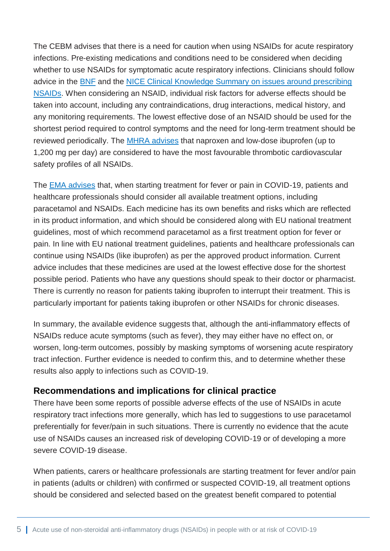The CEBM advises that there is a need for caution when using NSAIDs for acute respiratory infections. Pre-existing medications and conditions need to be considered when deciding whether to use NSAIDs for symptomatic acute respiratory infections. Clinicians should follow advice in the **BNF** and the NICE Clinical Knowledge Summary on issues around prescribing [NSAIDs.](https://cks.nice.org.uk/nsaids-prescribing-issues) When considering an NSAID, individual risk factors for adverse effects should be taken into account, including any contraindications, drug interactions, medical history, and any monitoring requirements. The lowest effective dose of an NSAID should be used for the shortest period required to control symptoms and the need for long-term treatment should be reviewed periodically. The [MHRA advises](https://www.gov.uk/drug-safety-update/high-dose-ibuprofen-2400mg-day-small-increase-in-cardiovascular-risk) that naproxen and low-dose ibuprofen (up to 1,200 mg per day) are considered to have the most favourable thrombotic cardiovascular safety profiles of all NSAIDs.

The [EMA advises](https://www.ema.europa.eu/en/news/ema-gives-advice-use-non-steroidal-anti-inflammatories-covid-19) that, when starting treatment for fever or pain in COVID-19, patients and healthcare professionals should consider all available treatment options, including paracetamol and NSAIDs. Each medicine has its own benefits and risks which are reflected in its product information, and which should be considered along with EU national treatment guidelines, most of which recommend paracetamol as a first treatment option for fever or pain. In line with EU national treatment guidelines, patients and healthcare professionals can continue using NSAIDs (like ibuprofen) as per the approved product information. Current advice includes that these medicines are used at the lowest effective dose for the shortest possible period. Patients who have any questions should speak to their doctor or pharmacist. There is currently no reason for patients taking ibuprofen to interrupt their treatment. This is particularly important for patients taking ibuprofen or other NSAIDs for chronic diseases.

In summary, the available evidence suggests that, although the anti-inflammatory effects of NSAIDs reduce acute symptoms (such as fever), they may either have no effect on, or worsen, long-term outcomes, possibly by masking symptoms of worsening acute respiratory tract infection. Further evidence is needed to confirm this, and to determine whether these results also apply to infections such as COVID-19.

#### **Recommendations and implications for clinical practice**

There have been some reports of possible adverse effects of the use of NSAIDs in acute respiratory tract infections more generally, which has led to suggestions to use paracetamol preferentially for fever/pain in such situations. There is currently no evidence that the acute use of NSAIDs causes an increased risk of developing COVID-19 or of developing a more severe COVID-19 disease.

When patients, carers or healthcare professionals are starting treatment for fever and/or pain in patients (adults or children) with confirmed or suspected COVID-19, all treatment options should be considered and selected based on the greatest benefit compared to potential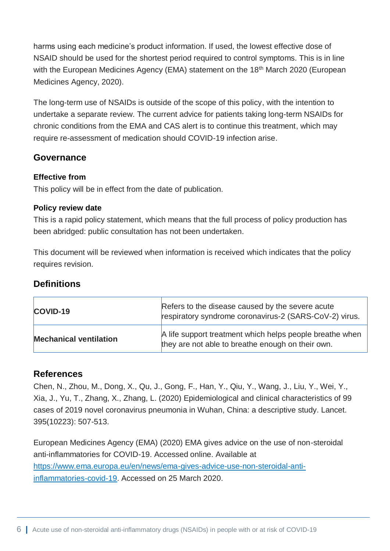harms using each medicine's product information. If used, the lowest effective dose of NSAID should be used for the shortest period required to control symptoms. This is in line with the European Medicines Agency (EMA) statement on the 18<sup>th</sup> March 2020 (European Medicines Agency, 2020).

The long-term use of NSAIDs is outside of the scope of this policy, with the intention to undertake a separate review. The current advice for patients taking long-term NSAIDs for chronic conditions from the EMA and CAS alert is to continue this treatment, which may require re-assessment of medication should COVID-19 infection arise.

# **Governance**

#### **Effective from**

This policy will be in effect from the date of publication.

#### **Policy review date**

This is a rapid policy statement, which means that the full process of policy production has been abridged: public consultation has not been undertaken.

This document will be reviewed when information is received which indicates that the policy requires revision.

# **Definitions**

| COVID-19                      | Refers to the disease caused by the severe acute<br>respiratory syndrome coronavirus-2 (SARS-CoV-2) virus.    |
|-------------------------------|---------------------------------------------------------------------------------------------------------------|
| <b>Mechanical ventilation</b> | A life support treatment which helps people breathe when<br>they are not able to breathe enough on their own. |

#### **References**

Chen, N., Zhou, M., Dong, X., Qu, J., Gong, F., Han, Y., Qiu, Y., Wang, J., Liu, Y., Wei, Y., Xia, J., Yu, T., Zhang, X., Zhang, L. (2020) Epidemiological and clinical characteristics of 99 cases of 2019 novel coronavirus pneumonia in Wuhan, China: a descriptive study. Lancet. 395(10223): 507-513.

European Medicines Agency (EMA) (2020) EMA gives advice on the use of non-steroidal anti-inflammatories for COVID-19. Accessed online. Available at [https://www.ema.europa.eu/en/news/ema-gives-advice-use-non-steroidal-anti](https://www.ema.europa.eu/en/news/ema-gives-advice-use-non-steroidal-anti-inflammatories-covid-19)[inflammatories-covid-19.](https://www.ema.europa.eu/en/news/ema-gives-advice-use-non-steroidal-anti-inflammatories-covid-19) Accessed on 25 March 2020.